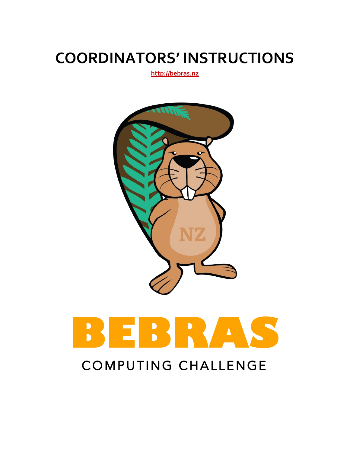#### **COORDINATORS' INSTRUCTIONS**

**http://bebras.nz**



# **BEBRAS**

#### COMPUTING CHALLENGE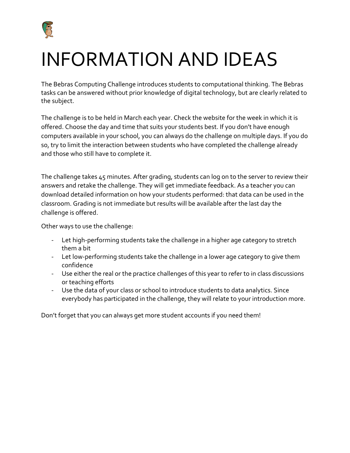

#### INFORMATION AND IDEAS

The Bebras Computing Challenge introduces students to computational thinking. The Bebras tasks can be answered without prior knowledge of digital technology, but are clearly related to the subject.

The challenge is to be held in March each year. Check the website for the week in which it is offered. Choose the day and time that suits your students best. If you don't have enough computers available in your school, you can always do the challenge on multiple days. If you do so, try to limit the interaction between students who have completed the challenge already and those who still have to complete it.

The challenge takes 45 minutes. After grading, students can log on to the server to review their answers and retake the challenge. They will get immediate feedback. As a teacher you can download detailed information on how your students performed: that data can be used in the classroom. Grading is not immediate but results will be available after the last day the challenge is offered.

Other ways to use the challenge:

- Let high-performing students take the challenge in a higher age category to stretch them a bit
- Let low-performing students take the challenge in a lower age category to give them confidence
- Use either the real or the practice challenges of this year to refer to in class discussions or teaching efforts
- Use the data of your class or school to introduce students to data analytics. Since everybody has participated in the challenge, they will relate to your introduction more.

Don't forget that you can always get more student accounts if you need them!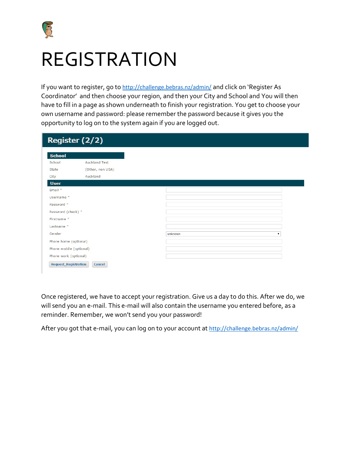

#### REGISTRATION

If you want to register, go to <http://challenge.bebras.nz/admin/> and click on 'Register As Coordinator' and then choose your region, and then your City and School and You will then have to fill in a page as shown underneath to finish your registration. You get to choose your own username and password: please remember the password because it gives you the opportunity to log on to the system again if you are logged out.

|                             | Register (2/2)       |
|-----------------------------|----------------------|
| <b>School</b>               |                      |
| School                      | <b>Auckland Test</b> |
| State                       | (Other, non USA)     |
| City                        | Auckland             |
| <b>User</b>                 |                      |
| Email *                     |                      |
| Username *                  |                      |
| Password *                  |                      |
| Password (check) *          |                      |
| Firstname *                 |                      |
| Lastname *                  |                      |
| Gender                      |                      |
| Phone home (optional)       |                      |
| Phone mobile (optional)     |                      |
| Phone work (optional)       |                      |
| <b>Request_Registration</b> | <b>Cancel</b>        |

Once registered, we have to accept your registration. Give us a day to do this. After we do, we will send you an e-mail. This e-mail will also contain the username you entered before, as a reminder. Remember, we won't send you your password!

After you got that e-mail, you can log on to your account at <http://challenge.bebras.nz/admin/>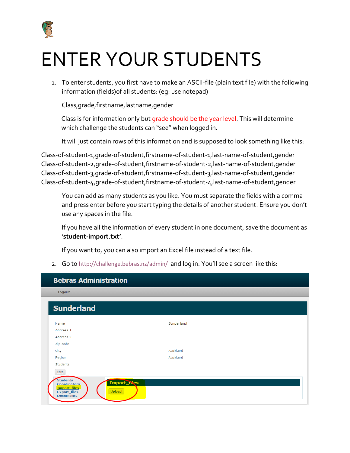

## ENTER YOUR STUDENTS

1. To enter students, you first have to make an ASCII-file (plain text file) with the following information (fields)of all students: (eg: use notepad)

Class,grade,firstname,lastname,gender

Class is for information only but grade should be the year level. This will determine which challenge the students can "see" when logged in.

It will just contain rows of this information and is supposed to look something like this:

Class-of-student-1,grade-of-student,firstname-of-student-1,last-name-of-student,gender Class-of-student-2,grade-of-student,firstname-of-student-2,last-name-of-student,gender Class-of-student-3,grade-of-student,firstname-of-student-3,last-name-of-student,gender Class-of-student-4,grade-of-student,firstname-of-student-4,last-name-of-student,gender

You can add as many students as you like. You must separate the fields with a comma and press enter before you start typing the details of another student. Ensure you don't use any spaces in the file.

If you have all the information of every student in one document, save the document as '**student-import.txt'**.

If you want to, you can also import an Excel file instead of a text file.

2. Go to <http://challenge.bebras.nz/admin/> and log in. You'll see a screen like this:

| <b>Bebras Administration</b>                                                                                                      |            |
|-----------------------------------------------------------------------------------------------------------------------------------|------------|
| Logout                                                                                                                            |            |
| <b>Sunderland</b>                                                                                                                 |            |
| Name                                                                                                                              | Sunderland |
| Address 1                                                                                                                         |            |
| Address <sub>2</sub>                                                                                                              |            |
| Zip code                                                                                                                          |            |
| City                                                                                                                              | Auckland   |
| Region                                                                                                                            | Auckland   |
| <b>Students</b>                                                                                                                   |            |
| Edit                                                                                                                              |            |
| <b>Students</b><br>Import_nles<br><b>Coordinators</b><br>Import files<br><b>Upload</b><br><b>Export_files</b><br><b>Documents</b> |            |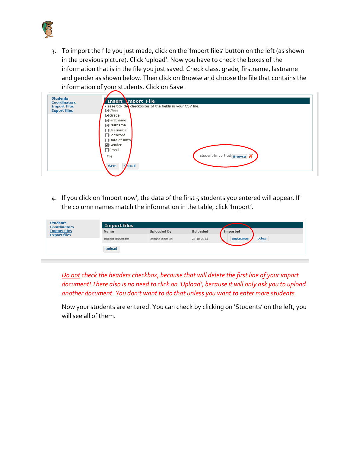

3. To import the file you just made, click on the 'Import files' button on the left (as shown in the previous picture). Click 'upload'. Now you have to check the boxes of the information that is in the file you just saved. Check class, grade, firstname, lastname and gender as shown below. Then click on Browse and choose the file that contains the information of your students. Click on Save.



4. If you click on 'Import now', the data of the first 5 students you entered will appear. If the column names match the information in the table, click 'Import'.

| <b>Students</b><br><b>Coordinators</b> | Import files       |                    |                 |                   |               |  |
|----------------------------------------|--------------------|--------------------|-----------------|-------------------|---------------|--|
| <b>Import files</b>                    | <b>Name</b>        | <b>Uploaded By</b> | <b>Uploaded</b> | Imported          |               |  |
| <b>Export files</b>                    | student-import.txt | Daphne Blokhuis    | 28-10-2014      | <b>Import Now</b> | <b>Delete</b> |  |
|                                        | <b>Upload</b>      |                    |                 |                   |               |  |

*Do not check the headers checkbox, because that will delete the first line of your import document! There also is no need to click on 'Upload', because it will only ask you to upload another document. You don't want to do that unless you want to enter more students.* 

Now your students are entered. You can check by clicking on 'Students' on the left, you will see all of them.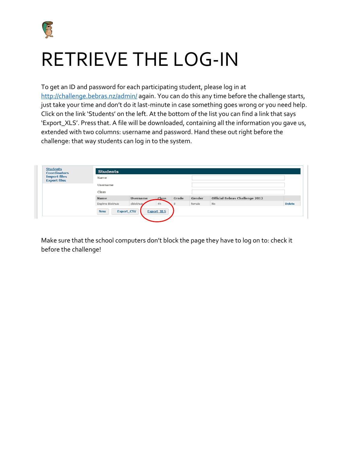

### RETRIEVE THE LOG-IN

To get an ID and password for each participating student, please log in at <http://challenge.bebras.nz/admin/> again. You can do this any time before the challenge starts, just take your time and don't do it last-minute in case something goes wrong or you need help. Click on the link 'Students' on the left. At the bottom of the list you can find a link that says 'Export\_XLS'. Press that. A file will be downloaded, containing all the information you gave us, extended with two columns: username and password. Hand these out right before the challenge: that way students can log in to the system.

| <b>Students</b><br><b>Coordinators</b><br><b>Import files</b><br><b>Export files</b> | <b>Students</b><br>Name |                 |              |       |        |                                       |               |
|--------------------------------------------------------------------------------------|-------------------------|-----------------|--------------|-------|--------|---------------------------------------|---------------|
|                                                                                      | Username                |                 |              |       |        |                                       |               |
|                                                                                      | Class                   |                 |              |       |        |                                       |               |
|                                                                                      | <b>Name</b>             | <b>Username</b> | <b>Class</b> | Grade | Gender | <b>Official Bebras Challenge 2012</b> |               |
|                                                                                      | Daphne Blokhuis         | dblokhuis       | 4h           |       | female | No                                    | <b>Delete</b> |

Make sure that the school computers don't block the page they have to log on to: check it before the challenge!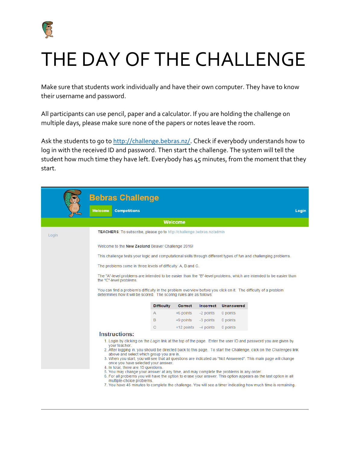

### THE DAY OF THE CHALLENGE

Make sure that students work individually and have their own computer. They have to know their username and password.

All participants can use pencil, paper and a calculator. If you are holding the challenge on multiple days, please make sure none of the papers or notes leave the room.

Ask the students to go to [http://challenge.bebras.nz/.](http://challenge.bebras.nz/) Check if everybody understands how to log in with the received ID and password. Then start the challenge. The system will tell the student how much time they have left. Everybody has 45 minutes, from the moment that they start.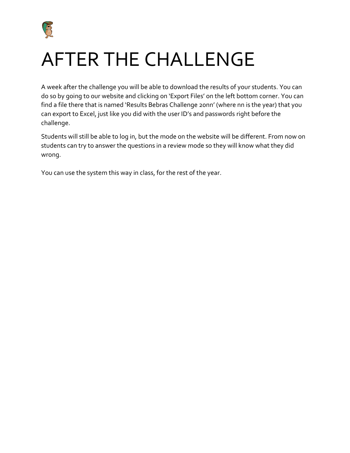

#### AFTER THE CHALLENGE

A week after the challenge you will be able to download the results of your students. You can do so by going to our website and clicking on 'Export Files' on the left bottom corner. You can find a file there that is named 'Results Bebras Challenge 20nn' (where nn is the year) that you can export to Excel, just like you did with the user ID's and passwords right before the challenge.

Students will still be able to log in, but the mode on the website will be different. From now on students can try to answer the questions in a review mode so they will know what they did wrong.

You can use the system this way in class, for the rest of the year.